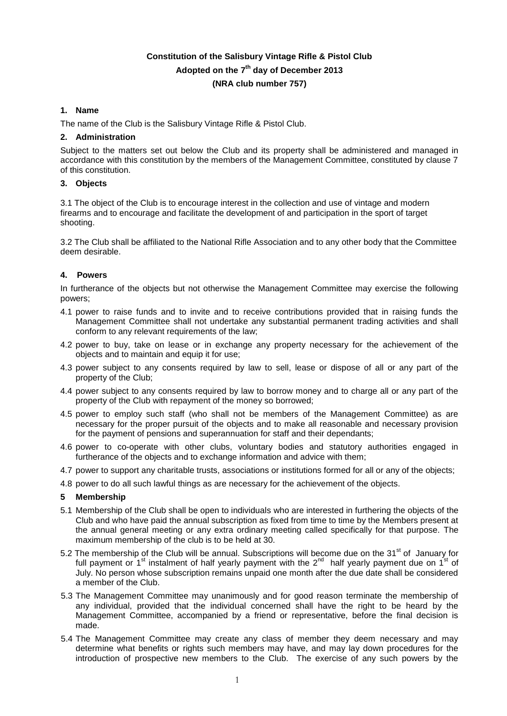# **Constitution of the Salisbury Vintage Rifle & Pistol Club Adopted on the 7 th day of December 2013 (NRA club number 757)**

# **1. Name**

The name of the Club is the Salisbury Vintage Rifle & Pistol Club.

## **2. Administration**

Subject to the matters set out below the Club and its property shall be administered and managed in accordance with this constitution by the members of the Management Committee, constituted by clause 7 of this constitution.

## **3. Objects**

3.1 The object of the Club is to encourage interest in the collection and use of vintage and modern firearms and to encourage and facilitate the development of and participation in the sport of target shooting.

3.2 The Club shall be affiliated to the National Rifle Association and to any other body that the Committee deem desirable.

# **4. Powers**

In furtherance of the objects but not otherwise the Management Committee may exercise the following powers;

- 4.1 power to raise funds and to invite and to receive contributions provided that in raising funds the Management Committee shall not undertake any substantial permanent trading activities and shall conform to any relevant requirements of the law;
- 4.2 power to buy, take on lease or in exchange any property necessary for the achievement of the objects and to maintain and equip it for use;
- 4.3 power subject to any consents required by law to sell, lease or dispose of all or any part of the property of the Club;
- 4.4 power subject to any consents required by law to borrow money and to charge all or any part of the property of the Club with repayment of the money so borrowed;
- 4.5 power to employ such staff (who shall not be members of the Management Committee) as are necessary for the proper pursuit of the objects and to make all reasonable and necessary provision for the payment of pensions and superannuation for staff and their dependants;
- 4.6 power to co-operate with other clubs, voluntary bodies and statutory authorities engaged in furtherance of the objects and to exchange information and advice with them;
- 4.7 power to support any charitable trusts, associations or institutions formed for all or any of the objects;
- 4.8 power to do all such lawful things as are necessary for the achievement of the objects.

#### **5 Membership**

- 5.1 Membership of the Club shall be open to individuals who are interested in furthering the objects of the Club and who have paid the annual subscription as fixed from time to time by the Members present at the annual general meeting or any extra ordinary meeting called specifically for that purpose. The maximum membership of the club is to be held at 30.
- 5.2 The membership of the Club will be annual. Subscriptions will become due on the 31<sup>st</sup> of January for full payment or 1<sup>st</sup> instalment of half yearly payment with the 2<sup>nd</sup> half yearly payment due on 1<sup>st</sup> of July. No person whose subscription remains unpaid one month after the due date shall be considered a member of the Club.
- 5.3 The Management Committee may unanimously and for good reason terminate the membership of any individual, provided that the individual concerned shall have the right to be heard by the Management Committee, accompanied by a friend or representative, before the final decision is made.
- 5.4 The Management Committee may create any class of member they deem necessary and may determine what benefits or rights such members may have, and may lay down procedures for the introduction of prospective new members to the Club. The exercise of any such powers by the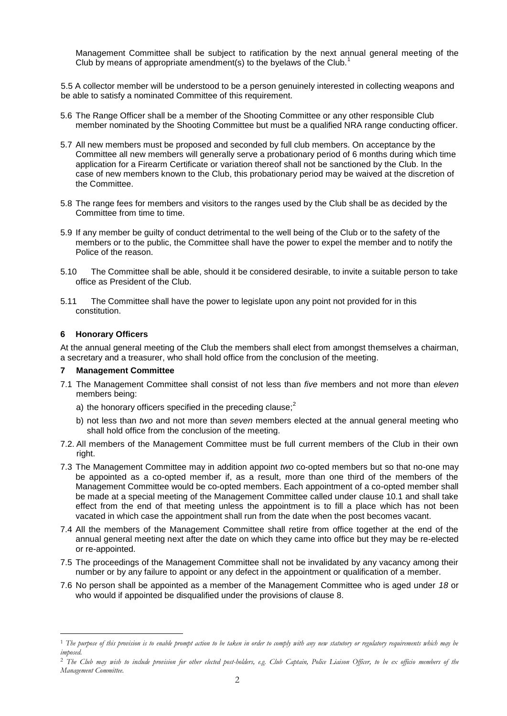Management Committee shall be subject to ratification by the next annual general meeting of the Club by means of appropriate amendment(s) to the byelaws of the Club.<sup>1</sup>

5.5 A collector member will be understood to be a person genuinely interested in collecting weapons and be able to satisfy a nominated Committee of this requirement.

- 5.6 The Range Officer shall be a member of the Shooting Committee or any other responsible Club member nominated by the Shooting Committee but must be a qualified NRA range conducting officer.
- 5.7 All new members must be proposed and seconded by full club members. On acceptance by the Committee all new members will generally serve a probationary period of 6 months during which time application for a Firearm Certificate or variation thereof shall not be sanctioned by the Club. In the case of new members known to the Club, this probationary period may be waived at the discretion of the Committee.
- 5.8 The range fees for members and visitors to the ranges used by the Club shall be as decided by the Committee from time to time.
- 5.9 If any member be guilty of conduct detrimental to the well being of the Club or to the safety of the members or to the public, the Committee shall have the power to expel the member and to notify the Police of the reason.
- 5.10 The Committee shall be able, should it be considered desirable, to invite a suitable person to take office as President of the Club.
- 5.11 The Committee shall have the power to legislate upon any point not provided for in this constitution.

# **6 Honorary Officers**

 $\overline{a}$ 

At the annual general meeting of the Club the members shall elect from amongst themselves a chairman, a secretary and a treasurer, who shall hold office from the conclusion of the meeting.

#### **7 Management Committee**

- 7.1 The Management Committee shall consist of not less than *five* members and not more than *eleven* members being:
	- a) the honorary officers specified in the preceding clause; $<sup>2</sup>$ </sup>
	- b) not less than *two* and not more than *seven* members elected at the annual general meeting who shall hold office from the conclusion of the meeting.
- 7.2. All members of the Management Committee must be full current members of the Club in their own right.
- 7.3 The Management Committee may in addition appoint *two* co-opted members but so that no-one may be appointed as a co-opted member if, as a result, more than one third of the members of the Management Committee would be co-opted members. Each appointment of a co-opted member shall be made at a special meeting of the Management Committee called under clause 10.1 and shall take effect from the end of that meeting unless the appointment is to fill a place which has not been vacated in which case the appointment shall run from the date when the post becomes vacant.
- 7.4 All the members of the Management Committee shall retire from office together at the end of the annual general meeting next after the date on which they came into office but they may be re-elected or re-appointed.
- 7.5 The proceedings of the Management Committee shall not be invalidated by any vacancy among their number or by any failure to appoint or any defect in the appointment or qualification of a member.
- 7.6 No person shall be appointed as a member of the Management Committee who is aged under *18* or who would if appointed be disqualified under the provisions of clause 8.

<sup>1</sup> *The purpose of this provision is to enable prompt action to be taken in order to comply with any new statutory or regulatory requirements which may be imposed.*

<sup>&</sup>lt;sup>2</sup> The Club may wish to include provision for other elected post-holders, e.g. Club Captain, Police Liaison Officer, to be ex officio members of the *Management Committee.*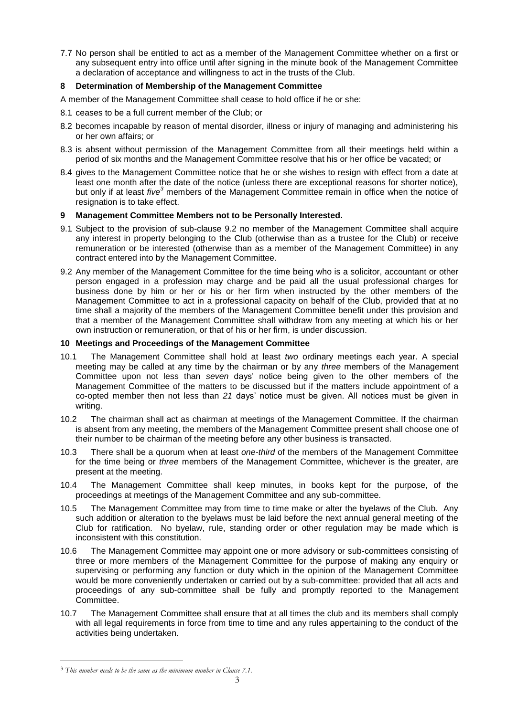7.7 No person shall be entitled to act as a member of the Management Committee whether on a first or any subsequent entry into office until after signing in the minute book of the Management Committee a declaration of acceptance and willingness to act in the trusts of the Club.

# **8 Determination of Membership of the Management Committee**

- A member of the Management Committee shall cease to hold office if he or she:
- 8.1 ceases to be a full current member of the Club; or
- 8.2 becomes incapable by reason of mental disorder, illness or injury of managing and administering his or her own affairs; or
- 8.3 is absent without permission of the Management Committee from all their meetings held within a period of six months and the Management Committee resolve that his or her office be vacated; or
- 8.4 gives to the Management Committee notice that he or she wishes to resign with effect from a date at least one month after the date of the notice (unless there are exceptional reasons for shorter notice), but only if at least *five<sup>3</sup>* members of the Management Committee remain in office when the notice of resignation is to take effect.

## **9 Management Committee Members not to be Personally Interested.**

- 9.1 Subject to the provision of sub-clause 9.2 no member of the Management Committee shall acquire any interest in property belonging to the Club (otherwise than as a trustee for the Club) or receive remuneration or be interested (otherwise than as a member of the Management Committee) in any contract entered into by the Management Committee.
- 9.2 Any member of the Management Committee for the time being who is a solicitor, accountant or other person engaged in a profession may charge and be paid all the usual professional charges for business done by him or her or his or her firm when instructed by the other members of the Management Committee to act in a professional capacity on behalf of the Club, provided that at no time shall a majority of the members of the Management Committee benefit under this provision and that a member of the Management Committee shall withdraw from any meeting at which his or her own instruction or remuneration, or that of his or her firm, is under discussion.

#### **10 Meetings and Proceedings of the Management Committee**

- 10.1 The Management Committee shall hold at least *two* ordinary meetings each year. A special meeting may be called at any time by the chairman or by any *three* members of the Management Committee upon not less than *seven* days' notice being given to the other members of the Management Committee of the matters to be discussed but if the matters include appointment of a co-opted member then not less than *21* days' notice must be given. All notices must be given in writing.
- 10.2 The chairman shall act as chairman at meetings of the Management Committee. If the chairman is absent from any meeting, the members of the Management Committee present shall choose one of their number to be chairman of the meeting before any other business is transacted.
- 10.3 There shall be a quorum when at least *one-third* of the members of the Management Committee for the time being or *three* members of the Management Committee, whichever is the greater, are present at the meeting.
- 10.4 The Management Committee shall keep minutes, in books kept for the purpose, of the proceedings at meetings of the Management Committee and any sub-committee.
- 10.5 The Management Committee may from time to time make or alter the byelaws of the Club. Any such addition or alteration to the byelaws must be laid before the next annual general meeting of the Club for ratification. No byelaw, rule, standing order or other regulation may be made which is inconsistent with this constitution.
- 10.6 The Management Committee may appoint one or more advisory or sub-committees consisting of three or more members of the Management Committee for the purpose of making any enquiry or supervising or performing any function or duty which in the opinion of the Management Committee would be more conveniently undertaken or carried out by a sub-committee: provided that all acts and proceedings of any sub-committee shall be fully and promptly reported to the Management Committee.
- 10.7 The Management Committee shall ensure that at all times the club and its members shall comply with all legal requirements in force from time to time and any rules appertaining to the conduct of the activities being undertaken.

 $\overline{a}$ 

<sup>3</sup> *This number needs to be the same as the minimum number in Clause 7.1.*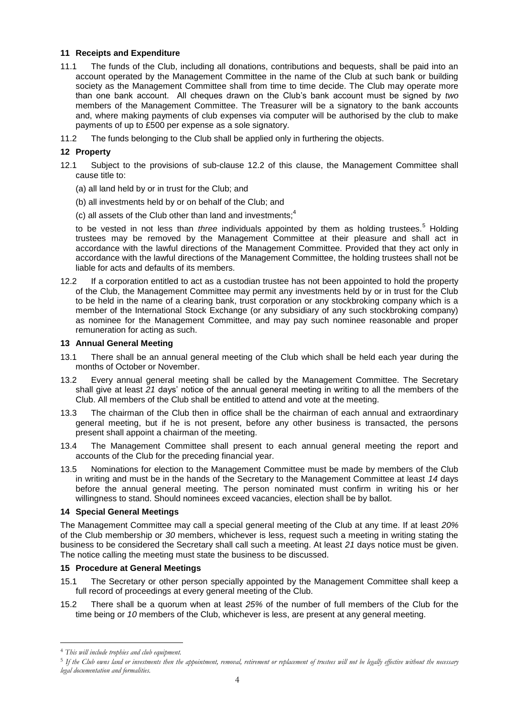## **11 Receipts and Expenditure**

- 11.1 The funds of the Club, including all donations, contributions and bequests, shall be paid into an account operated by the Management Committee in the name of the Club at such bank or building society as the Management Committee shall from time to time decide. The Club may operate more than one bank account. All cheques drawn on the Club's bank account must be signed by *two* members of the Management Committee. The Treasurer will be a signatory to the bank accounts and, where making payments of club expenses via computer will be authorised by the club to make payments of up to £500 per expense as a sole signatory.
- 11.2 The funds belonging to the Club shall be applied only in furthering the objects.

## **12 Property**

- 12.1 Subject to the provisions of sub-clause 12.2 of this clause, the Management Committee shall cause title to:
	- (a) all land held by or in trust for the Club; and
	- (b) all investments held by or on behalf of the Club; and
	- (c) all assets of the Club other than land and investments; $4$

to be vested in not less than *three* individuals appointed by them as holding trustees.<sup>5</sup> Holding trustees may be removed by the Management Committee at their pleasure and shall act in accordance with the lawful directions of the Management Committee. Provided that they act only in accordance with the lawful directions of the Management Committee, the holding trustees shall not be liable for acts and defaults of its members.

12.2 If a corporation entitled to act as a custodian trustee has not been appointed to hold the property of the Club, the Management Committee may permit any investments held by or in trust for the Club to be held in the name of a clearing bank, trust corporation or any stockbroking company which is a member of the International Stock Exchange (or any subsidiary of any such stockbroking company) as nominee for the Management Committee, and may pay such nominee reasonable and proper remuneration for acting as such.

#### **13 Annual General Meeting**

- 13.1 There shall be an annual general meeting of the Club which shall be held each year during the months of October or November.
- 13.2 Every annual general meeting shall be called by the Management Committee. The Secretary shall give at least *21* days' notice of the annual general meeting in writing to all the members of the Club. All members of the Club shall be entitled to attend and vote at the meeting.
- 13.3 The chairman of the Club then in office shall be the chairman of each annual and extraordinary general meeting, but if he is not present, before any other business is transacted, the persons present shall appoint a chairman of the meeting.
- 13.4 The Management Committee shall present to each annual general meeting the report and accounts of the Club for the preceding financial year.
- 13.5 Nominations for election to the Management Committee must be made by members of the Club in writing and must be in the hands of the Secretary to the Management Committee at least *14* days before the annual general meeting. The person nominated must confirm in writing his or her willingness to stand. Should nominees exceed vacancies, election shall be by ballot.

#### **14 Special General Meetings**

The Management Committee may call a special general meeting of the Club at any time. If at least *20%* of the Club membership or *30* members, whichever is less, request such a meeting in writing stating the business to be considered the Secretary shall call such a meeting. At least *21* days notice must be given. The notice calling the meeting must state the business to be discussed.

#### **15 Procedure at General Meetings**

- 15.1 The Secretary or other person specially appointed by the Management Committee shall keep a full record of proceedings at every general meeting of the Club.
- 15.2 There shall be a quorum when at least *25%* of the number of full members of the Club for the time being or *10* members of the Club, whichever is less, are present at any general meeting.

 $\overline{a}$ 

<sup>4</sup> *This will include trophies and club equipment.*

<sup>5</sup> *If the Club owns land or investments then the appointment, removal, retirement or replacement of trustees will not be legally effective without the necessary legal documentation and formalities.*